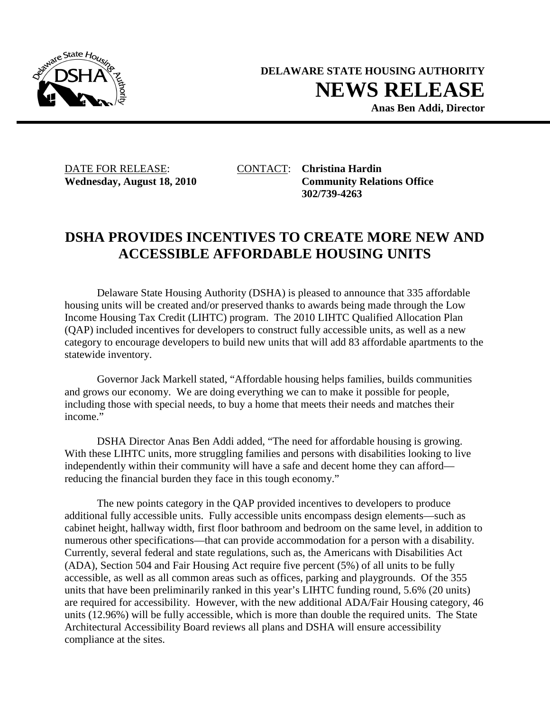

**DELAWARE STATE HOUSING AUTHORITY NEWS RELEASE**

**Anas Ben Addi, Director** 

DATE FOR RELEASE: CONTACT: **Christina Hardin**

Wednesday, August 18, 2010 Community Relations Office **302/739-4263** 

## **DSHA PROVIDES INCENTIVES TO CREATE MORE NEW AND ACCESSIBLE AFFORDABLE HOUSING UNITS**

Delaware State Housing Authority (DSHA) is pleased to announce that 335 affordable housing units will be created and/or preserved thanks to awards being made through the Low Income Housing Tax Credit (LIHTC) program. The 2010 LIHTC Qualified Allocation Plan (QAP) included incentives for developers to construct fully accessible units, as well as a new category to encourage developers to build new units that will add 83 affordable apartments to the statewide inventory.

Governor Jack Markell stated, "Affordable housing helps families, builds communities and grows our economy. We are doing everything we can to make it possible for people, including those with special needs, to buy a home that meets their needs and matches their income."

DSHA Director Anas Ben Addi added, "The need for affordable housing is growing. With these LIHTC units, more struggling families and persons with disabilities looking to live independently within their community will have a safe and decent home they can afford reducing the financial burden they face in this tough economy."

The new points category in the QAP provided incentives to developers to produce additional fully accessible units. Fully accessible units encompass design elements—such as cabinet height, hallway width, first floor bathroom and bedroom on the same level, in addition to numerous other specifications—that can provide accommodation for a person with a disability. Currently, several federal and state regulations, such as, the Americans with Disabilities Act (ADA), Section 504 and Fair Housing Act require five percent (5%) of all units to be fully accessible, as well as all common areas such as offices, parking and playgrounds. Of the 355 units that have been preliminarily ranked in this year's LIHTC funding round, 5.6% (20 units) are required for accessibility. However, with the new additional ADA/Fair Housing category, 46 units (12.96%) will be fully accessible, which is more than double the required units. The State Architectural Accessibility Board reviews all plans and DSHA will ensure accessibility compliance at the sites.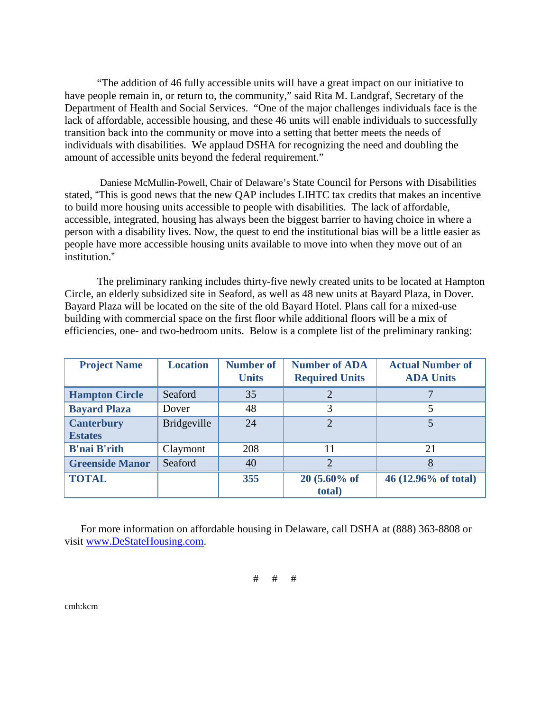"The addition of 46 fully accessible units will have a great impact on our initiative to have people remain in, or return to, the community," said Rita M. Landgraf, Secretary of the Department of Health and Social Services. "One of the major challenges individuals face is the lack of affordable, accessible housing, and these 46 units will enable individuals to successfully transition back into the community or move into a setting that better meets the needs of individuals with disabilities. We applaud DSHA for recognizing the need and doubling the amount of accessible units beyond the federal requirement."

Daniese McMullin-Powell, Chair of Delaware's State Council for Persons with Disabilities stated, "This is good news that the new QAP includes LIHTC tax credits that makes an incentive to build more housing units accessible to people with disabilities. The lack of affordable, accessible, integrated, housing has always been the biggest barrier to having choice in where a person with a disability lives. Now, the quest to end the institutional bias will be a little easier as people have more accessible housing units available to move into when they move out of an institution."

The preliminary ranking includes thirty-five newly created units to be located at Hampton Circle, an elderly subsidized site in Seaford, as well as 48 new units at Bayard Plaza, in Dover. Bayard Plaza will be located on the site of the old Bayard Hotel. Plans call for a mixed-use building with commercial space on the first floor while additional floors will be a mix of efficiencies, one- and two-bedroom units. Below is a complete list of the preliminary ranking:

| <b>Project Name</b>                 | <b>Location</b>    | <b>Number of</b><br><b>Units</b> | <b>Number of ADA</b><br><b>Required Units</b> | <b>Actual Number of</b><br><b>ADA Units</b> |
|-------------------------------------|--------------------|----------------------------------|-----------------------------------------------|---------------------------------------------|
| <b>Hampton Circle</b>               | Seaford            | 35                               |                                               |                                             |
| <b>Bayard Plaza</b>                 | Dover              | 48                               | 3                                             | 5                                           |
| <b>Canterbury</b><br><b>Estates</b> | <b>Bridgeville</b> | 24                               | $\mathcal{D}_{\cdot}$                         | 5                                           |
| <b>B'nai B'rith</b>                 | Claymont           | 208                              | 11                                            | 21                                          |
| <b>Greenside Manor</b>              | Seaford            | $\underline{40}$                 |                                               |                                             |
| <b>TOTAL</b>                        |                    | 355                              | $20(5.60\% \text{ of }$<br>total)             | 46 (12.96% of total)                        |

 For more information on affordable housing in Delaware, call DSHA at (888) 363-8808 or visit www.DeStateHousing.com.

# # #

cmh:kcm